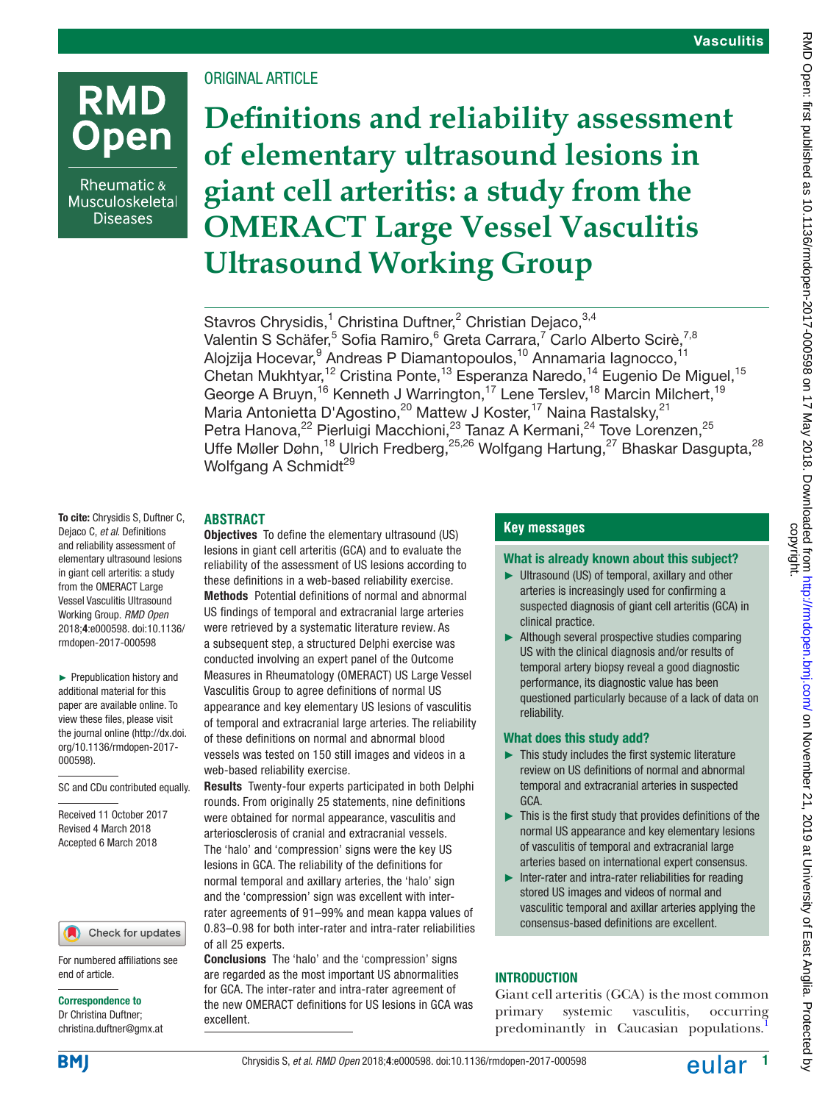# **RMD Dpen**

Rheumatic & Musculoskeletal **Diseases** 

# ORIGINAL ARTICLE

**Definitions and reliability assessment of elementary ultrasound lesions in giant cell arteritis: a study from the OMERACT Large Vessel Vasculitis Ultrasound Working Group**

Stavros Chrysidis,<sup>1</sup> Christina Duftner,<sup>2</sup> Christian Dejaco,<sup>3,4</sup> Valentin S Schäfer,<sup>5</sup> Sofia Ramiro,<sup>6</sup> Greta Carrara,<sup>7</sup> Carlo Alberto Scirè,<sup>7,8</sup> Alojzija Hocevar, $^9$  Andreas P Diamantopoulos,  $^{\rm 10}$  Annamaria Iagnocco,  $^{\rm 11}$ Chetan Mukhtyar,<sup>12</sup> Cristina Ponte,<sup>13</sup> Esperanza Naredo,<sup>14</sup> Eugenio De Miguel,<sup>15</sup> George A Bruyn,<sup>16</sup> Kenneth J Warrington,<sup>17</sup> Lene Terslev,<sup>18</sup> Marcin Milchert,<sup>19</sup> Maria Antonietta D'Agostino,<sup>20</sup> Mattew J Koster,<sup>17</sup> Naina Rastalsky,<sup>21</sup> Petra Hanova,<sup>22</sup> Pierluigi Macchioni,<sup>23</sup> Tanaz A Kermani,<sup>24</sup> Tove Lorenzen,<sup>25</sup> Uffe Møller Døhn,<sup>18</sup> Ulrich Fredberg,<sup>25,26</sup> Wolfgang Hartung,<sup>27</sup> Bhaskar Dasgupta,<sup>28</sup> Wolfgang A Schmidt<sup>29</sup>

# **Abstract**

**Objectives** To define the elementary ultrasound (US) lesions in giant cell arteritis (GCA) and to evaluate the reliability of the assessment of US lesions according to these definitions in a web-based reliability exercise. Methods Potential definitions of normal and abnormal US findings of temporal and extracranial large arteries were retrieved by a systematic literature review. As a subsequent step, a structured Delphi exercise was conducted involving an expert panel of the Outcome Measures in Rheumatology (OMERACT) US Large Vessel Vasculitis Group to agree definitions of normal US appearance and key elementary US lesions of vasculitis of temporal and extracranial large arteries. The reliability of these definitions on normal and abnormal blood vessels was tested on 150 still images and videos in a web-based reliability exercise.

Results Twenty-four experts participated in both Delphi rounds. From originally 25 statements, nine definitions were obtained for normal appearance, vasculitis and arteriosclerosis of cranial and extracranial vessels. The 'halo' and 'compression' signs were the key US lesions in GCA. The reliability of the definitions for normal temporal and axillary arteries, the 'halo' sign and the 'compression' sign was excellent with interrater agreements of 91–99% and mean kappa values of 0.83–0.98 for both inter-rater and intra-rater reliabilities of all 25 experts.

Conclusions The 'halo' and the 'compression' signs are regarded as the most important US abnormalities for GCA. The inter-rater and intra-rater agreement of the new OMERACT definitions for US lesions in GCA was excellent.

# **Key messages**

### What is already known about this subject?

- ► Ultrasound (US) of temporal, axillary and other arteries is increasingly used for confirming a suspected diagnosis of giant cell arteritis (GCA) in clinical practice.
- ► Although several prospective studies comparing US with the clinical diagnosis and/or results of temporal artery biopsy reveal a good diagnostic performance, its diagnostic value has been questioned particularly because of a lack of data on reliability.

### What does this study add?

- ► This study includes the first systemic literature review on US definitions of normal and abnormal temporal and extracranial arteries in suspected GCA.
- $\blacktriangleright$  This is the first study that provides definitions of the normal US appearance and key elementary lesions of vasculitis of temporal and extracranial large arteries based on international expert consensus.
- ► Inter-rater and intra-rater reliabilities for reading stored US images and videos of normal and vasculitic temporal and axillar arteries applying the consensus-based definitions are excellent.

# **INTRODUCTION**

Giant cell arteritis (GCA) is the most common primary systemic vasculitis, occurring predominantly in Caucasian populations.<sup>[1](#page-7-0)</sup>

► Prepublication history and additional material for this paper are available online. To view these files, please visit the journal online ([http://dx.doi.](http://dx.doi.org/10.1136/rmdopen-2017-000598) [org/10.1136/rmdopen-2017-](http://dx.doi.org/10.1136/rmdopen-2017-000598)

To cite: Chrysidis S, Duftner C, Dejaco C, *et al*. Definitions and reliability assessment of elementary ultrasound lesions in giant cell arteritis: a study from the OMERACT Large Vessel Vasculitis Ultrasound Working Group. *RMD Open* 2018;4:e000598. doi:10.1136/ rmdopen-2017-000598

SC and CDu contributed equally.

Received 11 October 2017 Revised 4 March 2018 Accepted 6 March 2018

[000598](http://dx.doi.org/10.1136/rmdopen-2017-000598)).

# Check for updates

For numbered affiliations see end of article.

Correspondence to

Dr Christina Duftner; christina.duftner@gmx.at

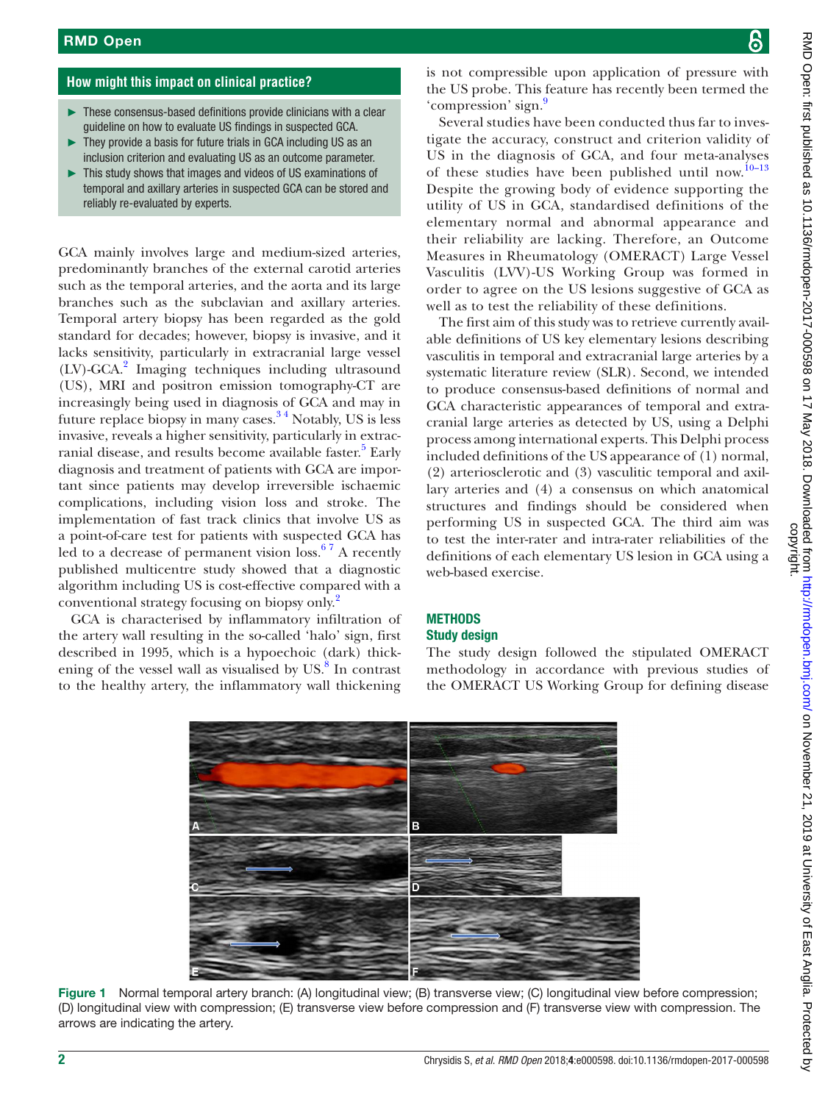# **How might this impact on clinical practice?**

- ► These consensus-based definitions provide clinicians with a clear guideline on how to evaluate US findings in suspected GCA.
- They provide a basis for future trials in GCA including US as an inclusion criterion and evaluating US as an outcome parameter.
- ► This study shows that images and videos of US examinations of temporal and axillary arteries in suspected GCA can be stored and reliably re-evaluated by experts.

GCA mainly involves large and medium-sized arteries, predominantly branches of the external carotid arteries such as the temporal arteries, and the aorta and its large branches such as the subclavian and axillary arteries. Temporal artery biopsy has been regarded as the gold standard for decades; however, biopsy is invasive, and it lacks sensitivity, particularly in extracranial large vessel (LV)-GCA.[2](#page-7-1) Imaging techniques including ultrasound (US), MRI and positron emission tomography-CT are increasingly being used in diagnosis of GCA and may in future replace biopsy in many cases.<sup>34</sup> Notably, US is less invasive, reveals a higher sensitivity, particularly in extrac-ranial disease, and results become available faster.<sup>[5](#page-7-3)</sup> Early diagnosis and treatment of patients with GCA are important since patients may develop irreversible ischaemic complications, including vision loss and stroke. The implementation of fast track clinics that involve US as a point-of-care test for patients with suspected GCA has led to a decrease of permanent vision  $\cos^{67}$  A recently published multicentre study showed that a diagnostic algorithm including US is cost-effective compared with a conventional strategy focusing on biopsy only[.2](#page-7-1)

GCA is characterised by inflammatory infiltration of the artery wall resulting in the so-called 'halo' sign, first described in 1995, which is a hypoechoic (dark) thick-ening of the vessel wall as visualised by US.<sup>[8](#page-7-5)</sup> In contrast to the healthy artery, the inflammatory wall thickening

is not compressible upon application of pressure with the US probe. This feature has recently been termed the 'compression' sign.[9](#page-7-6)

Several studies have been conducted thus far to investigate the accuracy, construct and criterion validity of US in the diagnosis of GCA, and four meta-analyses of these studies have been published until now.<sup>10-13</sup> Despite the growing body of evidence supporting the utility of US in GCA, standardised definitions of the elementary normal and abnormal appearance and their reliability are lacking. Therefore, an Outcome Measures in Rheumatology (OMERACT) Large Vessel Vasculitis (LVV)-US Working Group was formed in order to agree on the US lesions suggestive of GCA as well as to test the reliability of these definitions.

The first aim of this study was to retrieve currently available definitions of US key elementary lesions describing vasculitis in temporal and extracranial large arteries by a systematic literature review (SLR). Second, we intended to produce consensus-based definitions of normal and GCA characteristic appearances of temporal and extracranial large arteries as detected by US, using a Delphi process among international experts. This Delphi process included definitions of the US appearance of (1) normal, (2) arteriosclerotic and (3) vasculitic temporal and axillary arteries and (4) a consensus on which anatomical structures and findings should be considered when performing US in suspected GCA. The third aim was to test the inter-rater and intra-rater reliabilities of the definitions of each elementary US lesion in GCA using a web-based exercise.

# **METHODS**

### Study design

The study design followed the stipulated OMERACT methodology in accordance with previous studies of the OMERACT US Working Group for defining disease



<span id="page-1-0"></span>Figure 1 Normal temporal artery branch: (A) longitudinal view; (B) transverse view; (C) longitudinal view before compression; (D) longitudinal view with compression; (E) transverse view before compression and (F) transverse view with compression. The arrows are indicating the artery.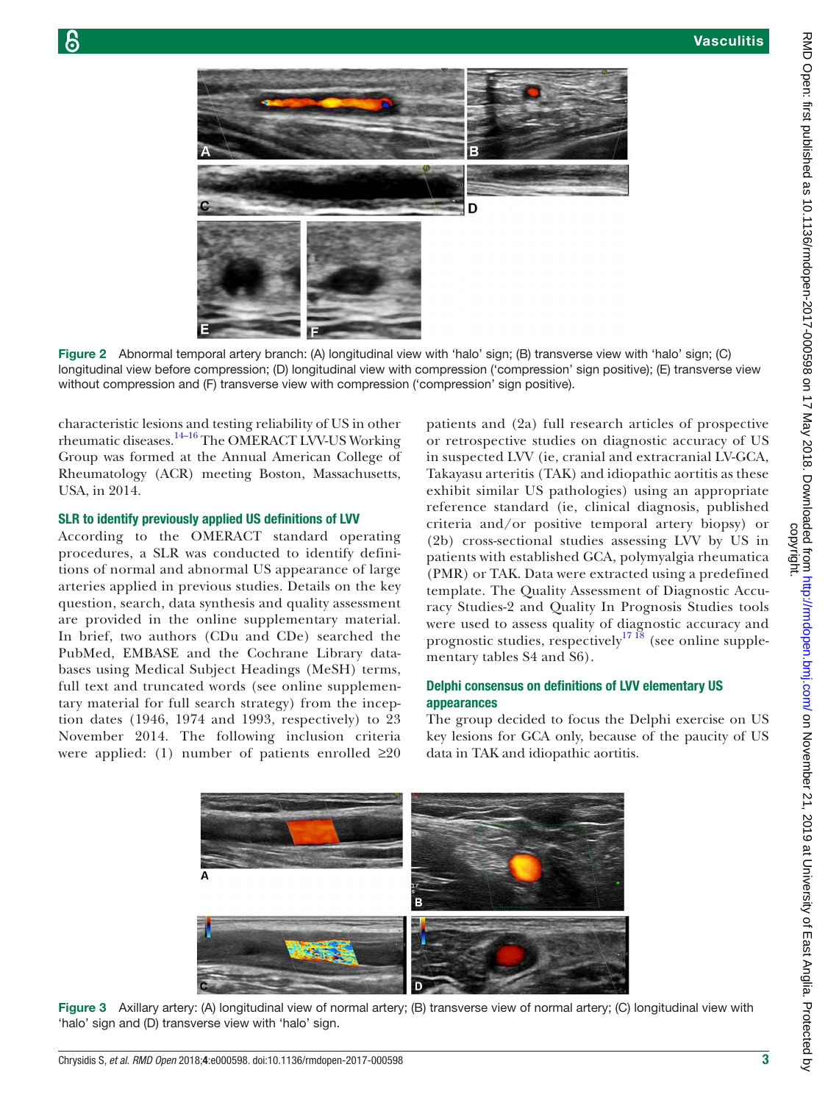



characteristic lesions and testing reliability of US in other rheumatic diseases[.14–16](#page-7-8) The OMERACT LVV-US Working Group was formed at the Annual American College of Rheumatology (ACR) meeting Boston, Massachusetts, USA, in 2014.

#### SLR to identify previously applied US definitions of LVV

According to the OMERACT standard operating procedures, a SLR was conducted to identify definitions of normal and abnormal US appearance of large arteries applied in previous studies. Details on the key question, search, data synthesis and quality assessment are provided in the online [supplementary](https://dx.doi.org/10.1136/rmdopen-2017-000598) material. In brief, two authors (CDu and CDe) searched the PubMed, EMBASE and the Cochrane Library databases using Medical Subject Headings (MeSH) terms, full text and truncated words (see online [supplemen](https://dx.doi.org/10.1136/rmdopen-2017-000598)[tary material](https://dx.doi.org/10.1136/rmdopen-2017-000598) for full search strategy) from the inception dates (1946, 1974 and 1993, respectively) to 23 November 2014. The following inclusion criteria were applied: (1) number of patients enrolled  $\geq 20$ 

patients and (2a) full research articles of prospective or retrospective studies on diagnostic accuracy of US in suspected LVV (ie, cranial and extracranial LV-GCA, Takayasu arteritis (TAK) and idiopathic aortitis as these exhibit similar US pathologies) using an appropriate reference standard (ie, clinical diagnosis, published criteria and/or positive temporal artery biopsy) or (2b) cross-sectional studies assessing LVV by US in patients with established GCA, polymyalgia rheumatica (PMR) or TAK. Data were extracted using a predefined template. The Quality Assessment of Diagnostic Accuracy Studies-2 and Quality In Prognosis Studies tools were used to assess quality of diagnostic accuracy and prognostic studies, respectively<sup>17 18</sup> (see online [supple](https://dx.doi.org/10.1136/rmdopen-2017-000598)[mentary tables S4 and S6](https://dx.doi.org/10.1136/rmdopen-2017-000598)).

#### Delphi consensus on definitions of LVV elementary US appearances

The group decided to focus the Delphi exercise on US key lesions for GCA only, because of the paucity of US data in TAK and idiopathic aortitis.



Figure 3 Axillary artery: (A) longitudinal view of normal artery; (B) transverse view of normal artery; (C) longitudinal view with 'halo' sign and (D) transverse view with 'halo' sign.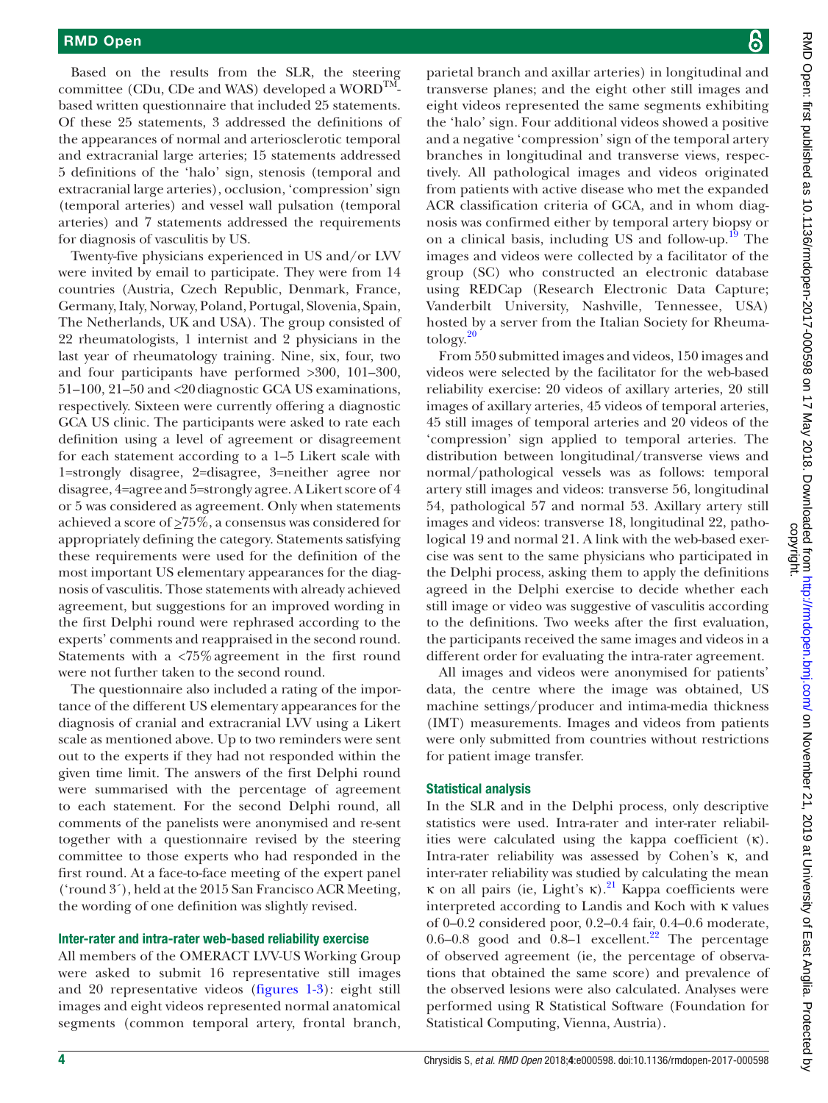Based on the results from the SLR, the steering committee (CDu, CDe and WAS) developed a  $WORD^{TM}$ based written questionnaire that included 25 statements. Of these 25 statements, 3 addressed the definitions of the appearances of normal and arteriosclerotic temporal and extracranial large arteries; 15 statements addressed 5 definitions of the 'halo' sign, stenosis (temporal and extracranial large arteries), occlusion, 'compression' sign (temporal arteries) and vessel wall pulsation (temporal arteries) and 7 statements addressed the requirements for diagnosis of vasculitis by US.

Twenty-five physicians experienced in US and/or LVV were invited by email to participate. They were from 14 countries (Austria, Czech Republic, Denmark, France, Germany, Italy, Norway, Poland, Portugal, Slovenia, Spain, The Netherlands, UK and USA). The group consisted of 22 rheumatologists, 1 internist and 2 physicians in the last year of rheumatology training. Nine, six, four, two and four participants have performed >300, 101–300, 51–100, 21–50 and <20diagnostic GCA US examinations, respectively. Sixteen were currently offering a diagnostic GCA US clinic. The participants were asked to rate each definition using a level of agreement or disagreement for each statement according to a 1–5 Likert scale with 1=strongly disagree, 2=disagree, 3=neither agree nor disagree, 4=agree and 5=strongly agree. A Likert score of 4 or 5 was considered as agreement. Only when statements achieved a score of  $\geq$ 75%, a consensus was considered for appropriately defining the category. Statements satisfying these requirements were used for the definition of the most important US elementary appearances for the diagnosis of vasculitis. Those statements with already achieved agreement, but suggestions for an improved wording in the first Delphi round were rephrased according to the experts' comments and reappraised in the second round. Statements with a <75%agreement in the first round were not further taken to the second round.

The questionnaire also included a rating of the importance of the different US elementary appearances for the diagnosis of cranial and extracranial LVV using a Likert scale as mentioned above. Up to two reminders were sent out to the experts if they had not responded within the given time limit. The answers of the first Delphi round were summarised with the percentage of agreement to each statement. For the second Delphi round, all comments of the panelists were anonymised and re-sent together with a questionnaire revised by the steering committee to those experts who had responded in the first round. At a face-to-face meeting of the expert panel ('round 3´), held at the 2015 San Francisco ACR Meeting, the wording of one definition was slightly revised.

#### Inter-rater and intra-rater web-based reliability exercise

All members of the OMERACT LVV-US Working Group were asked to submit 16 representative still images and 20 representative videos ([figures](#page-1-0) 1-3): eight still images and eight videos represented normal anatomical segments (common temporal artery, frontal branch,

parietal branch and axillar arteries) in longitudinal and transverse planes; and the eight other still images and eight videos represented the same segments exhibiting the 'halo' sign. Four additional videos showed a positive and a negative 'compression' sign of the temporal artery branches in longitudinal and transverse views, respectively. All pathological images and videos originated from patients with active disease who met the expanded ACR classification criteria of GCA, and in whom diagnosis was confirmed either by temporal artery biopsy or on a clinical basis, including US and follow-up.[19](#page-7-10) The images and videos were collected by a facilitator of the group (SC) who constructed an electronic database using REDCap (Research Electronic Data Capture; Vanderbilt University, Nashville, Tennessee, USA) hosted by a server from the Italian Society for Rheumatology. $20$ 

From 550 submitted images and videos, 150 images and videos were selected by the facilitator for the web-based reliability exercise: 20 videos of axillary arteries, 20 still images of axillary arteries, 45 videos of temporal arteries, 45 still images of temporal arteries and 20 videos of the 'compression' sign applied to temporal arteries. The distribution between longitudinal/transverse views and normal/pathological vessels was as follows: temporal artery still images and videos: transverse 56, longitudinal 54, pathological 57 and normal 53. Axillary artery still images and videos: transverse 18, longitudinal 22, pathological 19 and normal 21. A link with the web-based exercise was sent to the same physicians who participated in the Delphi process, asking them to apply the definitions agreed in the Delphi exercise to decide whether each still image or video was suggestive of vasculitis according to the definitions. Two weeks after the first evaluation, the participants received the same images and videos in a different order for evaluating the intra-rater agreement.

All images and videos were anonymised for patients' data, the centre where the image was obtained, US machine settings/producer and intima-media thickness (IMT) measurements. Images and videos from patients were only submitted from countries without restrictions for patient image transfer.

### Statistical analysis

In the SLR and in the Delphi process, only descriptive statistics were used. Intra-rater and inter-rater reliabilities were calculated using the kappa coefficient  $(\kappa)$ . Intra-rater reliability was assessed by Cohen's κ, and inter-rater reliability was studied by calculating the mean κ on all pairs (ie, Light's κ).<sup>21</sup> Kappa coefficients were interpreted according to Landis and Koch with κ values of 0–0.2 considered poor, 0.2–0.4 fair, 0.4–0.6 moderate, 0.6–0.8 good and  $0.8-1$  excellent.<sup>22</sup> The percentage of observed agreement (ie, the percentage of observations that obtained the same score) and prevalence of the observed lesions were also calculated. Analyses were performed using R Statistical Software (Foundation for Statistical Computing, Vienna, Austria).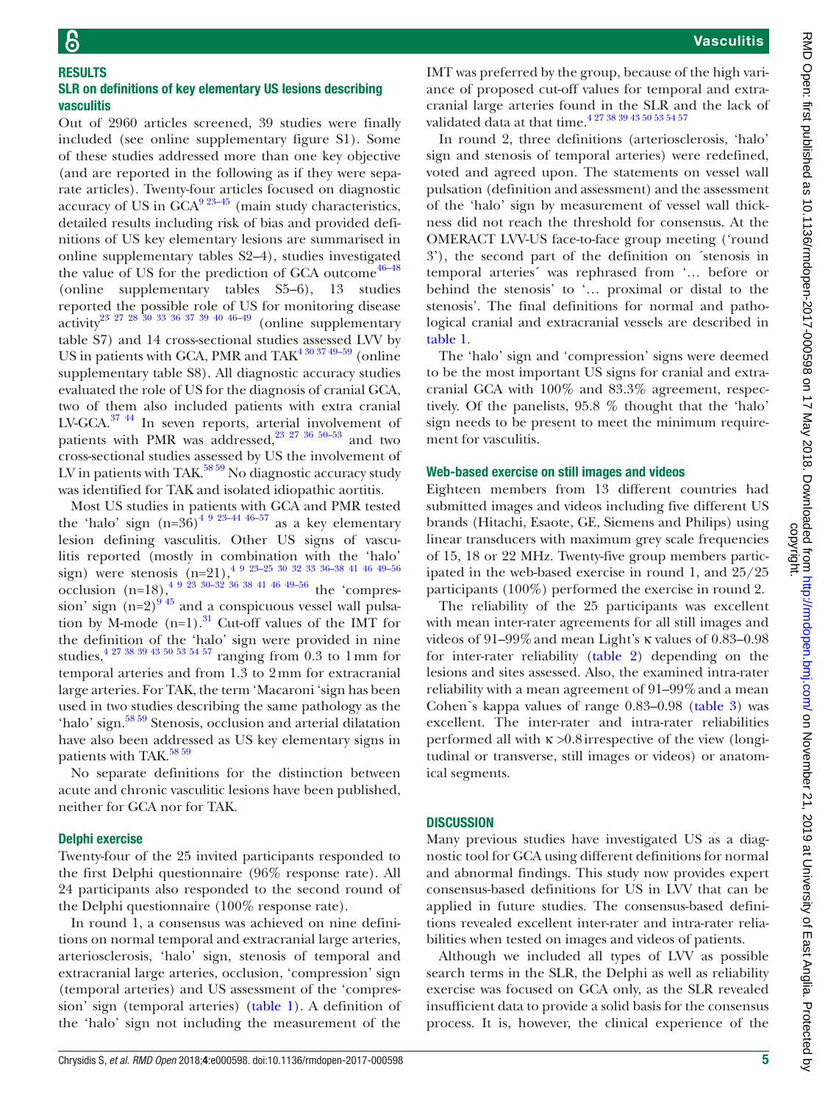# SLR on definitions of key elementary US lesions describing vasculitis

Out of 2960 articles screened, 39 studies were finally included (see online [supplementary figure S1](https://dx.doi.org/10.1136/rmdopen-2017-000598)). Some of these studies addressed more than one key objective (and are reported in the following as if they were separate articles). Twenty-four articles focused on diagnostic accuracy of US in  $GCA<sup>9</sup>$ <sup>923–45</sup> (main study characteristics, detailed results including risk of bias and provided definitions of US key elementary lesions are summarised in online [supplementary tables S2–](https://dx.doi.org/10.1136/rmdopen-2017-000598)4), studies investigated the value of US for the prediction of GCA outcome $46-48$ (online [supplementary tables S5–6\)](https://dx.doi.org/10.1136/rmdopen-2017-000598), 13 studies reported the possible role of US for monitoring disease  $\arctivity^{23}$  27 28 30 33 36 37 39 40 46–49 (online [supplementary](https://dx.doi.org/10.1136/rmdopen-2017-000598) [table S7](https://dx.doi.org/10.1136/rmdopen-2017-000598)) and 14 cross-sectional studies assessed LVV by US in patients with GCA, PMR and TAK<sup>4 30 37 49-59</sup> (online [supplementary table S8\)](https://dx.doi.org/10.1136/rmdopen-2017-000598). All diagnostic accuracy studies evaluated the role of US for the diagnosis of cranial GCA, two of them also included patients with extra cranial LV-GCA.[37 44](#page-8-1) In seven reports, arterial involvement of patients with PMR was addressed, $23 \times 27 \times 36 \times 50^{-53}$  and two cross-sectional studies assessed by US the involvement of LV in patients with TAK. $^{5859}$  No diagnostic accuracy study was identified for TAK and isolated idiopathic aortitis.

Most US studies in patients with GCA and PMR tested the 'halo' sign  $(n=36)^{49}$  <sup>23–44 46–57</sup> as a key elementary lesion defining vasculitis. Other US signs of vasculitis reported (mostly in combination with the 'halo' sign) were stenosis  $(n=21),$ <sup>[4 9 23–25 30 32 33 36–38 41 46 49–56](#page-7-15)</sup> occlusion  $(n=18)$ ,  $49^{23}$   $30-32$   $36$   $38$   $41$   $46$   $49-56$  the 'compression' sign  $(n=2)^{9/45}$  and a conspicuous vessel wall pulsation by M-mode  $(n=1)$ .<sup>31</sup> Cut-off values of the IMT for the definition of the 'halo' sign were provided in nine studies[,4 27 38 39 43 50 53 54 57](#page-7-15) ranging from 0.3 to 1mm for temporal arteries and from 1.3 to 2mm for extracranial large arteries. For TAK, the term 'Macaroni 'sign has been used in two studies describing the same pathology as the 'halo' sign.<sup>58 59</sup> Stenosis, occlusion and arterial dilatation have also been addressed as US key elementary signs in patients with TAK.<sup>[58 59](#page-8-2)</sup>

No separate definitions for the distinction between acute and chronic vasculitic lesions have been published, neither for GCA nor for TAK.

# Delphi exercise

Twenty-four of the 25 invited participants responded to the first Delphi questionnaire (96% response rate). All 24 participants also responded to the second round of the Delphi questionnaire (100% response rate).

In round 1, a consensus was achieved on nine definitions on normal temporal and extracranial large arteries, arteriosclerosis, 'halo' sign, stenosis of temporal and extracranial large arteries, occlusion, 'compression' sign (temporal arteries) and US assessment of the 'compression' sign (temporal arteries) [\(table](#page-5-0) 1). A definition of the 'halo' sign not including the measurement of the

IMT was preferred by the group, because of the high variance of proposed cut-off values for temporal and extracranial large arteries found in the SLR and the lack of validated data at that time.<sup>4 27 38</sup> <sup>39</sup> 43 50 53 54 57

In round 2, three definitions (arteriosclerosis, 'halo' sign and stenosis of temporal arteries) were redefined, voted and agreed upon. The statements on vessel wall pulsation (definition and assessment) and the assessment of the 'halo' sign by measurement of vessel wall thickness did not reach the threshold for consensus. At the OMERACT LVV-US face-to-face group meeting ('round 3'), the second part of the definition on ´stenosis in temporal arteries´ was rephrased from '… before or behind the stenosis' to '… proximal or distal to the stenosis'. The final definitions for normal and pathological cranial and extracranial vessels are described in [table](#page-5-0) 1.

The 'halo' sign and 'compression' signs were deemed to be the most important US signs for cranial and extracranial GCA with 100% and 83.3% agreement, respectively. Of the panelists, 95.8 % thought that the 'halo' sign needs to be present to meet the minimum requirement for vasculitis.

# Web-based exercise on still images and videos

Eighteen members from 13 different countries had submitted images and videos including five different US brands (Hitachi, Esaote, GE, Siemens and Philips) using linear transducers with maximum grey scale frequencies of 15, 18 or 22 MHz. Twenty-five group members participated in the web-based exercise in round 1, and 25/25 participants (100%) performed the exercise in round 2.

The reliability of the 25 participants was excellent with mean inter-rater agreements for all still images and videos of 91–99%and mean Light's κ values of 0.83–0.98 for inter-rater reliability [\(table](#page-5-1) 2) depending on the lesions and sites assessed. Also, the examined intra-rater reliability with a mean agreement of 91–99%and a mean Cohen`s kappa values of range 0.83–0.98 ([table](#page-6-0) 3) was excellent. The inter-rater and intra-rater reliabilities performed all with κ >0.8irrespective of the view (longitudinal or transverse, still images or videos) or anatomical segments.

# **DISCUSSION**

Many previous studies have investigated US as a diagnostic tool for GCA using different definitions for normal and abnormal findings. This study now provides expert consensus-based definitions for US in LVV that can be applied in future studies. The consensus-based definitions revealed excellent inter-rater and intra-rater reliabilities when tested on images and videos of patients.

Although we included all types of LVV as possible search terms in the SLR, the Delphi as well as reliability exercise was focused on GCA only, as the SLR revealed insufficient data to provide a solid basis for the consensus process. It is, however, the clinical experience of the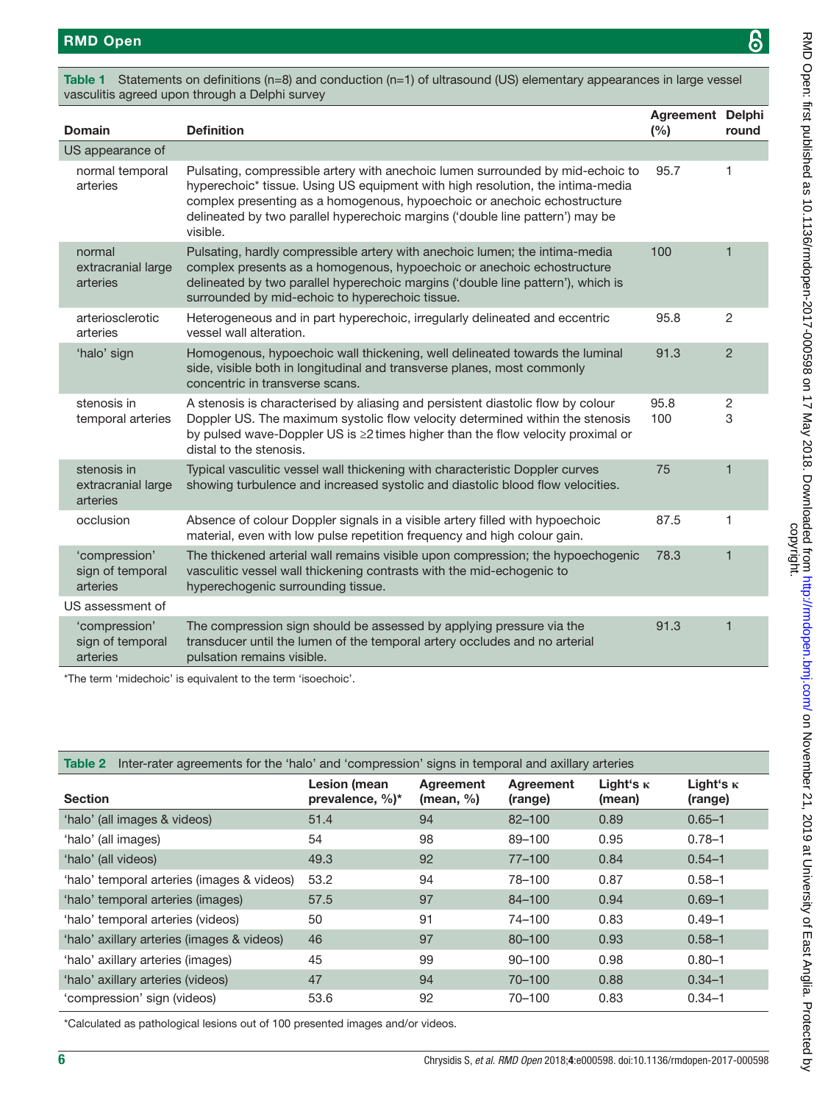RMD Open: first published as 10.1136/rmdopen-2017-000598 on 17 May 2018. Downloaded from http://rmdopen.bmj.com/ on November 21, 2019 at University of East Anglia. Protected by<br>copyright. RMD Open: tirst published as 10.1136/rmdopen-2017-000598 on 17 May 2018. Downloaded from <http://rmdopen.bmj.com/> on November 21, 2019 at University of East Anglia. Protected by

<span id="page-5-0"></span>Table 1 Statements on definitions (n=8) and conduction (n=1) of ultrasound (US) elementary appearances in large vessel vasculitis agreed upon through a Delphi survey

| <b>Definition</b>                                                                                                                                                                                                                                                                                                                         | <b>Agreement Delphi</b><br>(%) | round               |
|-------------------------------------------------------------------------------------------------------------------------------------------------------------------------------------------------------------------------------------------------------------------------------------------------------------------------------------------|--------------------------------|---------------------|
|                                                                                                                                                                                                                                                                                                                                           |                                |                     |
| Pulsating, compressible artery with anechoic lumen surrounded by mid-echoic to<br>hyperechoic* tissue. Using US equipment with high resolution, the intima-media<br>complex presenting as a homogenous, hypoechoic or anechoic echostructure<br>delineated by two parallel hyperechoic margins ('double line pattern') may be<br>visible. | 95.7                           | 1                   |
| Pulsating, hardly compressible artery with anechoic lumen; the intima-media<br>complex presents as a homogenous, hypoechoic or anechoic echostructure<br>delineated by two parallel hyperechoic margins ('double line pattern'), which is<br>surrounded by mid-echoic to hyperechoic tissue.                                              | 100                            | $\overline{1}$      |
| Heterogeneous and in part hyperechoic, irregularly delineated and eccentric<br>vessel wall alteration.                                                                                                                                                                                                                                    | 95.8                           | $\overline{2}$      |
| Homogenous, hypoechoic wall thickening, well delineated towards the luminal<br>side, visible both in longitudinal and transverse planes, most commonly<br>concentric in transverse scans.                                                                                                                                                 | 91.3                           | $\overline{2}$      |
| A stenosis is characterised by aliasing and persistent diastolic flow by colour<br>Doppler US. The maximum systolic flow velocity determined within the stenosis<br>by pulsed wave-Doppler US is ≥2 times higher than the flow velocity proximal or<br>distal to the stenosis.                                                            | 95.8<br>100                    | $\overline{c}$<br>3 |
| Typical vasculitic vessel wall thickening with characteristic Doppler curves<br>showing turbulence and increased systolic and diastolic blood flow velocities.                                                                                                                                                                            | 75                             | 1                   |
| Absence of colour Doppler signals in a visible artery filled with hypoechoic<br>material, even with low pulse repetition frequency and high colour gain.                                                                                                                                                                                  | 87.5                           | 1                   |
| The thickened arterial wall remains visible upon compression; the hypoechogenic<br>vasculitic vessel wall thickening contrasts with the mid-echogenic to<br>hyperechogenic surrounding tissue.                                                                                                                                            | 78.3                           | $\mathbf{1}$        |
|                                                                                                                                                                                                                                                                                                                                           |                                |                     |
| The compression sign should be assessed by applying pressure via the<br>transducer until the lumen of the temporal artery occludes and no arterial<br>pulsation remains visible.                                                                                                                                                          | 91.3                           | $\mathbf{1}$        |
|                                                                                                                                                                                                                                                                                                                                           |                                |                     |

\*The term 'midechoic' is equivalent to the term 'isoechoic'.

<span id="page-5-1"></span>

| Inter-rater agreements for the 'halo' and 'compression' signs in temporal and axillary arteries<br>Table 2 |                                                      |                        |                      |                            |                             |  |  |  |
|------------------------------------------------------------------------------------------------------------|------------------------------------------------------|------------------------|----------------------|----------------------------|-----------------------------|--|--|--|
| <b>Section</b>                                                                                             | <b>Lesion (mean</b><br>prevalence, $\%$ <sup>*</sup> | Agreement<br>(mean, %) | Agreement<br>(range) | Light's $\kappa$<br>(mean) | Light's $\kappa$<br>(range) |  |  |  |
| 'halo' (all images & videos)                                                                               | 51.4                                                 | 94                     | $82 - 100$           | 0.89                       | $0.65 - 1$                  |  |  |  |
| 'halo' (all images)                                                                                        | 54                                                   | 98                     | 89-100               | 0.95                       | $0.78 - 1$                  |  |  |  |
| 'halo' (all videos)                                                                                        | 49.3                                                 | 92                     | $77 - 100$           | 0.84                       | $0.54 - 1$                  |  |  |  |
| 'halo' temporal arteries (images & videos)                                                                 | 53.2                                                 | 94                     | 78-100               | 0.87                       | $0.58 - 1$                  |  |  |  |
| 'halo' temporal arteries (images)                                                                          | 57.5                                                 | 97                     | 84-100               | 0.94                       | $0.69 - 1$                  |  |  |  |
| 'halo' temporal arteries (videos)                                                                          | 50                                                   | 91                     | 74-100               | 0.83                       | $0.49 - 1$                  |  |  |  |
| 'halo' axillary arteries (images & videos)                                                                 | 46                                                   | 97                     | 80-100               | 0.93                       | $0.58 - 1$                  |  |  |  |
| 'halo' axillary arteries (images)                                                                          | 45                                                   | 99                     | $90 - 100$           | 0.98                       | $0.80 - 1$                  |  |  |  |
| 'halo' axillary arteries (videos)                                                                          | 47                                                   | 94                     | $70 - 100$           | 0.88                       | $0.34 - 1$                  |  |  |  |
| 'compression' sign (videos)                                                                                | 53.6                                                 | 92                     | 70-100               | 0.83                       | $0.34 - 1$                  |  |  |  |

\*Calculated as pathological lesions out of 100 presented images and/or videos.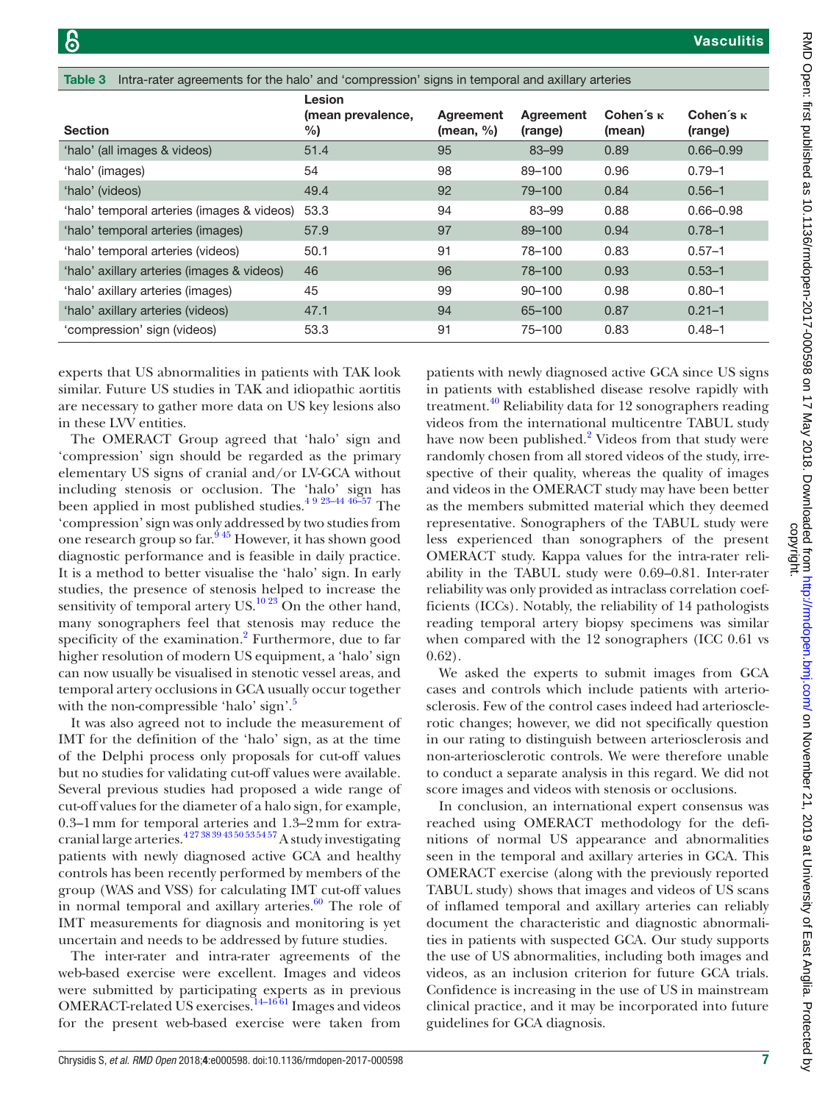<span id="page-6-0"></span>

| Intra-rater agreements for the halo' and 'compression' signs in temporal and axillary arteries<br>Table 3 |                                          |                            |                      |                            |                             |  |  |  |
|-----------------------------------------------------------------------------------------------------------|------------------------------------------|----------------------------|----------------------|----------------------------|-----------------------------|--|--|--|
| <b>Section</b>                                                                                            | <b>Lesion</b><br>(mean prevalence,<br>%) | Agreement<br>(mean, $\%$ ) | Agreement<br>(range) | Cohen's $\kappa$<br>(mean) | Cohen's $\kappa$<br>(range) |  |  |  |
| 'halo' (all images & videos)                                                                              | 51.4                                     | 95                         | 83-99                | 0.89                       | $0.66 - 0.99$               |  |  |  |
| 'halo' (images)                                                                                           | 54                                       | 98                         | 89-100               | 0.96                       | $0.79 - 1$                  |  |  |  |
| 'halo' (videos)                                                                                           | 49.4                                     | 92                         | 79-100               | 0.84                       | $0.56 - 1$                  |  |  |  |
| 'halo' temporal arteries (images & videos)                                                                | 53.3                                     | 94                         | 83-99                | 0.88                       | $0.66 - 0.98$               |  |  |  |
| 'halo' temporal arteries (images)                                                                         | 57.9                                     | 97                         | 89-100               | 0.94                       | $0.78 - 1$                  |  |  |  |
| 'halo' temporal arteries (videos)                                                                         | 50.1                                     | 91                         | 78-100               | 0.83                       | $0.57 - 1$                  |  |  |  |
| 'halo' axillary arteries (images & videos)                                                                | 46                                       | 96                         | 78-100               | 0.93                       | $0.53 - 1$                  |  |  |  |
| 'halo' axillary arteries (images)                                                                         | 45                                       | 99                         | $90 - 100$           | 0.98                       | $0.80 - 1$                  |  |  |  |
| 'halo' axillary arteries (videos)                                                                         | 47.1                                     | 94                         | $65 - 100$           | 0.87                       | $0.21 - 1$                  |  |  |  |
| 'compression' sign (videos)                                                                               | 53.3                                     | 91                         | 75-100               | 0.83                       | $0.48 - 1$                  |  |  |  |

experts that US abnormalities in patients with TAK look similar. Future US studies in TAK and idiopathic aortitis are necessary to gather more data on US key lesions also in these LVV entities.

The OMERACT Group agreed that 'halo' sign and 'compression' sign should be regarded as the primary elementary US signs of cranial and/or LV-GCA without including stenosis or occlusion. The 'halo' sign has been applied in most published studies[.4 9 23–44 46–57](#page-7-15) The 'compression' sign was only addressed by two studies from one research group so far.<sup>945</sup> However, it has shown good diagnostic performance and is feasible in daily practice. It is a method to better visualise the 'halo' sign. In early studies, the presence of stenosis helped to increase the sensitivity of temporal artery US.<sup>10 23</sup> On the other hand, many sonographers feel that stenosis may reduce the specificity of the examination.<sup>2</sup> Furthermore, due to far higher resolution of modern US equipment, a 'halo' sign can now usually be visualised in stenotic vessel areas, and temporal artery occlusions in GCA usually occur together with the non-compressible 'halo' sign'.<sup>5</sup>

It was also agreed not to include the measurement of IMT for the definition of the 'halo' sign, as at the time of the Delphi process only proposals for cut-off values but no studies for validating cut-off values were available. Several previous studies had proposed a wide range of cut-off values for the diameter of a halo sign, for example, 0.3–1mm for temporal arteries and 1.3–2mm for extra-cranial large arteries.<sup>[4 27 38 39 43 50 53 54 57](#page-7-15)</sup> A study investigating patients with newly diagnosed active GCA and healthy controls has been recently performed by members of the group (WAS and VSS) for calculating IMT cut-off values in normal temporal and axillary arteries. $60$  The role of IMT measurements for diagnosis and monitoring is yet uncertain and needs to be addressed by future studies.

The inter-rater and intra-rater agreements of the web-based exercise were excellent. Images and videos were submitted by participating experts as in previous OMERACT-related US exercises.<sup>14-1661</sup> Images and videos for the present web-based exercise were taken from

patients with newly diagnosed active GCA since US signs in patients with established disease resolve rapidly with treatment.<sup>40</sup> Reliability data for 12 sonographers reading videos from the international multicentre TABUL study have now been published.<sup>[2](#page-7-1)</sup> Videos from that study were randomly chosen from all stored videos of the study, irrespective of their quality, whereas the quality of images and videos in the OMERACT study may have been better as the members submitted material which they deemed representative. Sonographers of the TABUL study were less experienced than sonographers of the present OMERACT study. Kappa values for the intra-rater reliability in the TABUL study were 0.69–0.81. Inter-rater reliability was only provided as intraclass correlation coefficients (ICCs). Notably, the reliability of 14 pathologists reading temporal artery biopsy specimens was similar when compared with the 12 sonographers (ICC 0.61 vs 0.62).

We asked the experts to submit images from GCA cases and controls which include patients with arteriosclerosis. Few of the control cases indeed had arteriosclerotic changes; however, we did not specifically question in our rating to distinguish between arteriosclerosis and non-arteriosclerotic controls. We were therefore unable to conduct a separate analysis in this regard. We did not score images and videos with stenosis or occlusions.

In conclusion, an international expert consensus was reached using OMERACT methodology for the definitions of normal US appearance and abnormalities seen in the temporal and axillary arteries in GCA. This OMERACT exercise (along with the previously reported TABUL study) shows that images and videos of US scans of inflamed temporal and axillary arteries can reliably document the characteristic and diagnostic abnormalities in patients with suspected GCA. Our study supports the use of US abnormalities, including both images and videos, as an inclusion criterion for future GCA trials. Confidence is increasing in the use of US in mainstream clinical practice, and it may be incorporated into future guidelines for GCA diagnosis.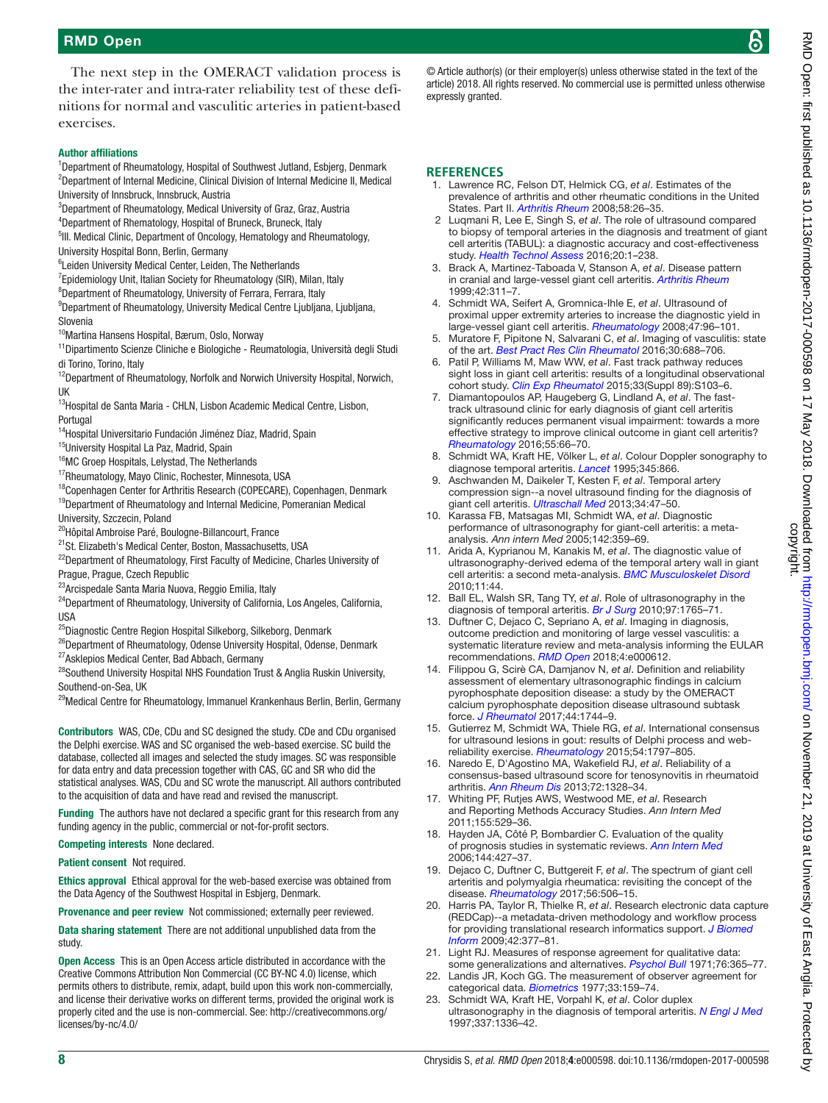# RMD Open

The next step in the OMERACT validation process is the inter-rater and intra-rater reliability test of these definitions for normal and vasculitic arteries in patient-based exercises.

#### Author affiliations

<sup>1</sup>Department of Rheumatology, Hospital of Southwest Jutland, Esbjerg, Denmark <sup>2</sup>Department of Internal Medicine, Clinical Division of Internal Medicine II, Medical University of Innsbruck, Innsbruck, Austria

- 3 Department of Rheumatology, Medical University of Graz, Graz, Austria
- 4 Department of Rhematology, Hospital of Bruneck, Bruneck, Italy

<sup>5</sup>III. Medical Clinic, Department of Oncology, Hematology and Rheumatology, University Hospital Bonn, Berlin, Germany

- 6 Leiden University Medical Center, Leiden, The Netherlands
- <sup>7</sup> Epidemiology Unit, Italian Society for Rheumatology (SIR), Milan, Italy
- 8 Department of Rheumatology, University of Ferrara, Ferrara, Italy

9 Department of Rheumatology, University Medical Centre Ljubljana, Ljubljana, Slovenia

10Martina Hansens Hospital, Bærum, Oslo, Norway

11Dipartimento Scienze Cliniche e Biologiche - Reumatologia, Università degli Studi di Torino, Torino, Italy

<sup>12</sup>Department of Rheumatology, Norfolk and Norwich University Hospital, Norwich, UK

<sup>13</sup>Hospital de Santa Maria - CHLN, Lisbon Academic Medical Centre, Lisbon, Portugal

<sup>14</sup>Hospital Universitario Fundación Jiménez Díaz, Madrid, Spain

<sup>15</sup>University Hospital La Paz, Madrid, Spain

<sup>16</sup>MC Groep Hospitals, Lelystad, The Netherlands

<sup>17</sup>Rheumatology, Mayo Clinic, Rochester, Minnesota, USA

<sup>18</sup>Copenhagen Center for Arthritis Research (COPECARE), Copenhagen, Denmark <sup>19</sup>Department of Rheumatology and Internal Medicine, Pomeranian Medical

University, Szczecin, Poland

20Hôpital Ambroise Paré, Boulogne-Billancourt, France

<sup>21</sup>St. Elizabeth's Medical Center, Boston, Massachusetts, USA

<sup>22</sup>Department of Rheumatology, First Faculty of Medicine, Charles University of Prague, Prague, Czech Republic

23Arcispedale Santa Maria Nuova, Reggio Emilia, Italy

- <sup>24</sup>Department of Rheumatology, University of California, Los Angeles, California, USA
- $^{25}$ Diagnostic Centre Region Hospital Silkeborg, Silkeborg, Denmark
- <sup>26</sup>Department of Rheumatology, Odense University Hospital, Odense, Denmark
- <sup>27</sup>Asklepios Medical Center, Bad Abbach, Germany

<sup>28</sup>Southend University Hospital NHS Foundation Trust & Anglia Ruskin University, Southend-on-Sea, UK

<sup>29</sup>Medical Centre for Rheumatology, Immanuel Krankenhaus Berlin, Berlin, Germany

Contributors WAS, CDe, CDu and SC designed the study. CDe and CDu organised the Delphi exercise. WAS and SC organised the web-based exercise. SC build the database, collected all images and selected the study images. SC was responsible for data entry and data precession together with CAS, GC and SR who did the statistical analyses. WAS, CDu and SC wrote the manuscript. All authors contributed to the acquisition of data and have read and revised the manuscript.

Funding The authors have not declared a specific grant for this research from any funding agency in the public, commercial or not-for-profit sectors.

#### Competing interests None declared.

Patient consent Not required.

Ethics approval Ethical approval for the web-based exercise was obtained from the Data Agency of the Southwest Hospital in Esbjerg, Denmark.

Provenance and peer review Not commissioned; externally peer reviewed.

Data sharing statement There are not additional unpublished data from the study.

Open Access This is an Open Access article distributed in accordance with the Creative Commons Attribution Non Commercial (CC BY-NC 4.0) license, which permits others to distribute, remix, adapt, build upon this work non-commercially, and license their derivative works on different terms, provided the original work is properly cited and the use is non-commercial. See: [http://creativecommons.org/](http://creativecommons.org/licenses/by-nc/4.0/) [licenses/by-nc/4.0/](http://creativecommons.org/licenses/by-nc/4.0/)

© Article author(s) (or their employer(s) unless otherwise stated in the text of the article) 2018. All rights reserved. No commercial use is permitted unless otherwise expressly granted.

#### **References**

- <span id="page-7-0"></span>1. Lawrence RC, Felson DT, Helmick CG, *et al*. Estimates of the prevalence of arthritis and other rheumatic conditions in the United States. Part II. *[Arthritis Rheum](http://dx.doi.org/10.1002/art.23176)* 2008;58:26–35.
- <span id="page-7-1"></span>2 Luqmani R, Lee E, Singh S, *et al*. The role of ultrasound compared to biopsy of temporal arteries in the diagnosis and treatment of giant cell arteritis (TABUL): a diagnostic accuracy and cost-effectiveness study. *[Health Technol Assess](http://dx.doi.org/10.3310/hta20900)* 2016;20:1–238.
- <span id="page-7-2"></span>3. Brack A, Martinez-Taboada V, Stanson A, *et al*. Disease pattern in cranial and large-vessel giant cell arteritis. *[Arthritis Rheum](http://dx.doi.org/10.1002/1529-0131(199902)42:2<311::AID-ANR14>3.0.CO;2-F)* 1999;42:311–7.
- <span id="page-7-15"></span>4. Schmidt WA, Seifert A, Gromnica-Ihle E, *et al*. Ultrasound of proximal upper extremity arteries to increase the diagnostic yield in large-vessel giant cell arteritis. *[Rheumatology](http://dx.doi.org/10.1093/rheumatology/kem322)* 2008;47:96–101.
- <span id="page-7-3"></span>5. Muratore F, Pipitone N, Salvarani C, *et al*. Imaging of vasculitis: state of the art. *[Best Pract Res Clin Rheumatol](http://dx.doi.org/10.1016/j.berh.2016.09.010)* 2016;30:688–706.
- <span id="page-7-4"></span>6. Patil P, Williams M, Maw WW, *et al*. Fast track pathway reduces sight loss in giant cell arteritis: results of a longitudinal observational cohort study. *[Clin Exp Rheumatol](http://www.ncbi.nlm.nih.gov/pubmed/26016758)* 2015;33(Suppl 89):S103–6.
- 7. Diamantopoulos AP, Haugeberg G, Lindland A, *et al*. The fasttrack ultrasound clinic for early diagnosis of giant cell arteritis significantly reduces permanent visual impairment: towards a more effective strategy to improve clinical outcome in giant cell arteritis? *[Rheumatology](http://dx.doi.org/10.1093/rheumatology/kev289)* 2016;55:66–70.
- <span id="page-7-5"></span>8. Schmidt WA, Kraft HE, Völker L, *et al*. Colour Doppler sonography to diagnose temporal arteritis. *[Lancet](http://dx.doi.org/10.1016/S0140-6736(95)93005-1)* 1995;345:866.
- <span id="page-7-6"></span>9. Aschwanden M, Daikeler T, Kesten F, *et al*. Temporal artery compression sign--a novel ultrasound finding for the diagnosis of giant cell arteritis. *[Ultraschall Med](http://dx.doi.org/10.1055/s-0032-1312821)* 2013;34:47–50.
- <span id="page-7-7"></span>10. Karassa FB, Matsagas MI, Schmidt WA, *et al*. Diagnostic performance of ultrasonography for giant-cell arteritis: a metaanalysis. *Ann intern Med* 2005;142:359–69.
- 11. Arida A, Kyprianou M, Kanakis M, *et al*. The diagnostic value of ultrasonography-derived edema of the temporal artery wall in giant cell arteritis: a second meta-analysis. *[BMC Musculoskelet Disord](http://dx.doi.org/10.1186/1471-2474-11-44)* 2010;11:44.
- 12. Ball EL, Walsh SR, Tang TY, *et al*. Role of ultrasonography in the diagnosis of temporal arteritis. *[Br J Surg](http://dx.doi.org/10.1002/bjs.7252)* 2010;97:1765–71.
- 13. Duftner C, Dejaco C, Sepriano A, *et al*. Imaging in diagnosis, outcome prediction and monitoring of large vessel vasculitis: a systematic literature review and meta-analysis informing the EULAR recommendations. *[RMD Open](http://dx.doi.org/10.1136/rmdopen-2017-000612)* 2018;4:e000612.
- <span id="page-7-8"></span>14. Filippou G, Scirè CA, Damjanov N, *et al*. Definition and reliability assessment of elementary ultrasonographic findings in calcium pyrophosphate deposition disease: a study by the OMERACT calcium pyrophosphate deposition disease ultrasound subtask force. *[J Rheumatol](http://dx.doi.org/10.3899/jrheum.161057)* 2017;44:1744–9.
- 15. Gutierrez M, Schmidt WA, Thiele RG, *et al*. International consensus for ultrasound lesions in gout: results of Delphi process and webreliability exercise. *[Rheumatology](http://dx.doi.org/10.1093/rheumatology/kev112)* 2015;54:1797–805.
- 16. Naredo E, D'Agostino MA, Wakefield RJ, *et al*. Reliability of a consensus-based ultrasound score for tenosynovitis in rheumatoid arthritis. *[Ann Rheum Dis](http://dx.doi.org/10.1136/annrheumdis-2012-202092)* 2013;72:1328–34.
- <span id="page-7-9"></span>17. Whiting PF, Rutjes AWS, Westwood ME, *et al*. Research and Reporting Methods Accuracy Studies. *Ann Intern Med* 2011;155:529–36.
- 18. Hayden JA, Côté P, Bombardier C. Evaluation of the quality of prognosis studies in systematic reviews. *[Ann Intern Med](http://dx.doi.org/10.7326/0003-4819-144-6-200603210-00010)* 2006;144:427–37.
- <span id="page-7-10"></span>19. Dejaco C, Duftner C, Buttgereit F, *et al*. The spectrum of giant cell arteritis and polymyalgia rheumatica: revisiting the concept of the disease. *[Rheumatology](http://dx.doi.org/10.1093/rheumatology/kew273)* 2017;56:506–15.
- <span id="page-7-11"></span>20. Harris PA, Taylor R, Thielke R, *et al*. Research electronic data capture (REDCap)--a metadata-driven methodology and workflow process for providing translational research informatics support. *[J Biomed](http://dx.doi.org/10.1016/j.jbi.2008.08.010)  [Inform](http://dx.doi.org/10.1016/j.jbi.2008.08.010)* 2009;42:377–81.
- <span id="page-7-12"></span>21. Light RJ. Measures of response agreement for qualitative data: some generalizations and alternatives. *[Psychol Bull](http://dx.doi.org/10.1037/h0031643)* 1971;76:365–77.
- <span id="page-7-13"></span>22. Landis JR, Koch GG. The measurement of observer agreement for categorical data. *[Biometrics](http://dx.doi.org/10.2307/2529310)* 1977;33:159–74.
- <span id="page-7-14"></span>23. Schmidt WA, Kraft HE, Vorpahl K, *et al*. Color duplex ultrasonography in the diagnosis of temporal arteritis. *[N Engl J Med](http://dx.doi.org/10.1056/NEJM199711063371902)* 1997;337:1336–42.